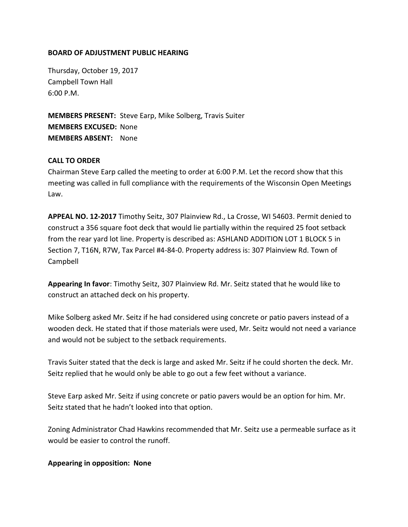### **BOARD OF ADJUSTMENT PUBLIC HEARING**

Thursday, October 19, 2017 Campbell Town Hall 6:00 P.M.

**MEMBERS PRESENT:** Steve Earp, Mike Solberg, Travis Suiter **MEMBERS EXCUSED:** None **MEMBERS ABSENT:** None

## **CALL TO ORDER**

Chairman Steve Earp called the meeting to order at 6:00 P.M. Let the record show that this meeting was called in full compliance with the requirements of the Wisconsin Open Meetings Law.

**APPEAL NO. 12-2017** Timothy Seitz, 307 Plainview Rd., La Crosse, WI 54603. Permit denied to construct a 356 square foot deck that would lie partially within the required 25 foot setback from the rear yard lot line. Property is described as: ASHLAND ADDITION LOT 1 BLOCK 5 in Section 7, T16N, R7W, Tax Parcel #4-84-0. Property address is: 307 Plainview Rd. Town of Campbell

**Appearing In favor**: Timothy Seitz, 307 Plainview Rd. Mr. Seitz stated that he would like to construct an attached deck on his property.

Mike Solberg asked Mr. Seitz if he had considered using concrete or patio pavers instead of a wooden deck. He stated that if those materials were used, Mr. Seitz would not need a variance and would not be subject to the setback requirements.

Travis Suiter stated that the deck is large and asked Mr. Seitz if he could shorten the deck. Mr. Seitz replied that he would only be able to go out a few feet without a variance.

Steve Earp asked Mr. Seitz if using concrete or patio pavers would be an option for him. Mr. Seitz stated that he hadn't looked into that option.

Zoning Administrator Chad Hawkins recommended that Mr. Seitz use a permeable surface as it would be easier to control the runoff.

#### **Appearing in opposition: None**